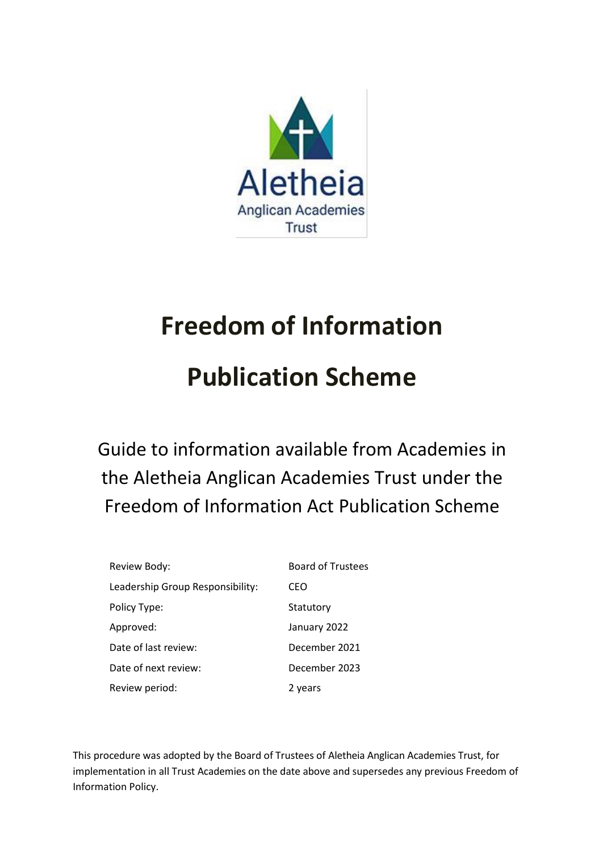

# **Freedom of Information**

# **Publication Scheme**

Guide to information available from Academies in the Aletheia Anglican Academies Trust under the Freedom of Information Act Publication Scheme

| Review Body:                     | <b>Board of Trustees</b> |
|----------------------------------|--------------------------|
| Leadership Group Responsibility: | CEO                      |
| Policy Type:                     | Statutory                |
| Approved:                        | January 2022             |
| Date of last review:             | December 2021            |
| Date of next review:             | December 2023            |
| Review period:                   | 2 years                  |

This procedure was adopted by the Board of Trustees of Aletheia Anglican Academies Trust, for implementation in all Trust Academies on the date above and supersedes any previous Freedom of Information Policy.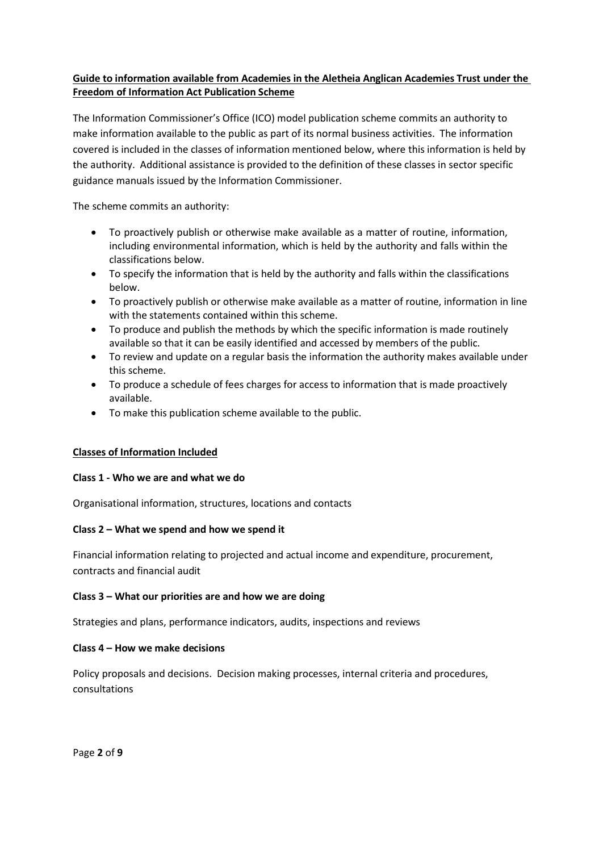#### **Guide to information available from Academies in the Aletheia Anglican Academies Trust under the Freedom of Information Act Publication Scheme**

The Information Commissioner's Office (ICO) model publication scheme commits an authority to make information available to the public as part of its normal business activities. The information covered is included in the classes of information mentioned below, where this information is held by the authority. Additional assistance is provided to the definition of these classes in sector specific guidance manuals issued by the Information Commissioner.

The scheme commits an authority:

- To proactively publish or otherwise make available as a matter of routine, information, including environmental information, which is held by the authority and falls within the classifications below.
- To specify the information that is held by the authority and falls within the classifications below.
- To proactively publish or otherwise make available as a matter of routine, information in line with the statements contained within this scheme.
- To produce and publish the methods by which the specific information is made routinely available so that it can be easily identified and accessed by members of the public.
- To review and update on a regular basis the information the authority makes available under this scheme.
- To produce a schedule of fees charges for access to information that is made proactively available.
- To make this publication scheme available to the public.

#### **Classes of Information Included**

#### **Class 1 - Who we are and what we do**

Organisational information, structures, locations and contacts

#### **Class 2 – What we spend and how we spend it**

Financial information relating to projected and actual income and expenditure, procurement, contracts and financial audit

#### **Class 3 – What our priorities are and how we are doing**

Strategies and plans, performance indicators, audits, inspections and reviews

#### **Class 4 – How we make decisions**

Policy proposals and decisions. Decision making processes, internal criteria and procedures, consultations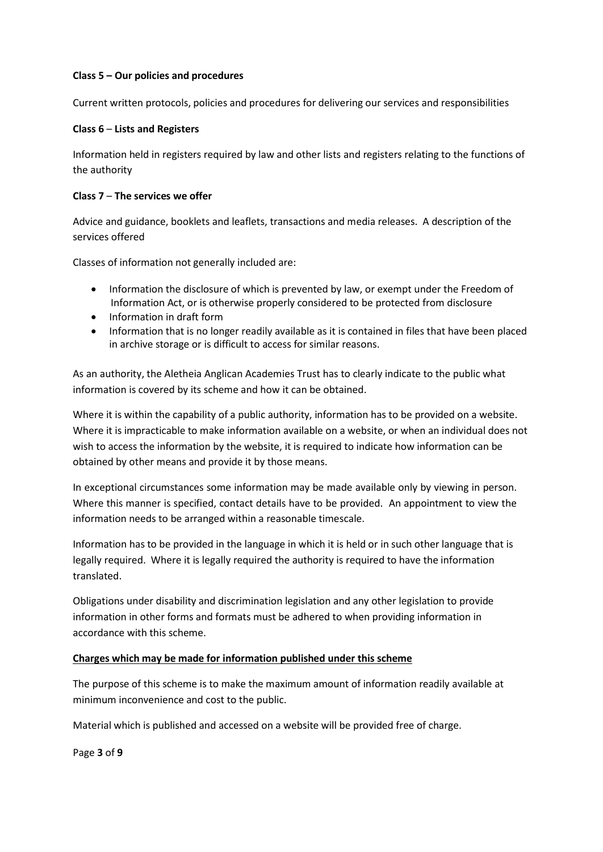#### **Class 5 – Our policies and procedures**

Current written protocols, policies and procedures for delivering our services and responsibilities

#### **Class 6** – **Lists and Registers**

Information held in registers required by law and other lists and registers relating to the functions of the authority

#### **Class 7** – **The services we offer**

Advice and guidance, booklets and leaflets, transactions and media releases. A description of the services offered

Classes of information not generally included are:

- Information the disclosure of which is prevented by law, or exempt under the Freedom of Information Act, or is otherwise properly considered to be protected from disclosure
- Information in draft form
- Information that is no longer readily available as it is contained in files that have been placed in archive storage or is difficult to access for similar reasons.

As an authority, the Aletheia Anglican Academies Trust has to clearly indicate to the public what information is covered by its scheme and how it can be obtained.

Where it is within the capability of a public authority, information has to be provided on a website. Where it is impracticable to make information available on a website, or when an individual does not wish to access the information by the website, it is required to indicate how information can be obtained by other means and provide it by those means.

In exceptional circumstances some information may be made available only by viewing in person. Where this manner is specified, contact details have to be provided. An appointment to view the information needs to be arranged within a reasonable timescale.

Information has to be provided in the language in which it is held or in such other language that is legally required. Where it is legally required the authority is required to have the information translated.

Obligations under disability and discrimination legislation and any other legislation to provide information in other forms and formats must be adhered to when providing information in accordance with this scheme.

#### **Charges which may be made for information published under this scheme**

The purpose of this scheme is to make the maximum amount of information readily available at minimum inconvenience and cost to the public.

Material which is published and accessed on a website will be provided free of charge.

Page **3** of **9**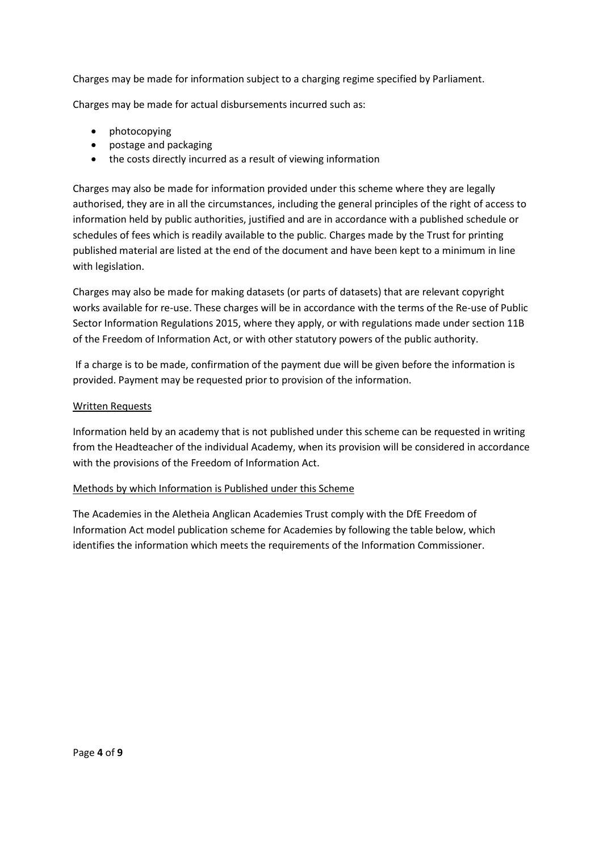Charges may be made for information subject to a charging regime specified by Parliament.

Charges may be made for actual disbursements incurred such as:

- photocopying
- postage and packaging
- the costs directly incurred as a result of viewing information

Charges may also be made for information provided under this scheme where they are legally authorised, they are in all the circumstances, including the general principles of the right of access to information held by public authorities, justified and are in accordance with a published schedule or schedules of fees which is readily available to the public. Charges made by the Trust for printing published material are listed at the end of the document and have been kept to a minimum in line with legislation.

Charges may also be made for making datasets (or parts of datasets) that are relevant copyright works available for re-use. These charges will be in accordance with the terms of the Re-use of Public Sector Information Regulations 2015, where they apply, or with regulations made under section 11B of the Freedom of Information Act, or with other statutory powers of the public authority.

If a charge is to be made, confirmation of the payment due will be given before the information is provided. Payment may be requested prior to provision of the information.

#### Written Requests

Information held by an academy that is not published under this scheme can be requested in writing from the Headteacher of the individual Academy, when its provision will be considered in accordance with the provisions of the Freedom of Information Act.

#### Methods by which Information is Published under this Scheme

The Academies in the Aletheia Anglican Academies Trust comply with the DfE Freedom of Information Act model publication scheme for Academies by following the table below, which identifies the information which meets the requirements of the Information Commissioner.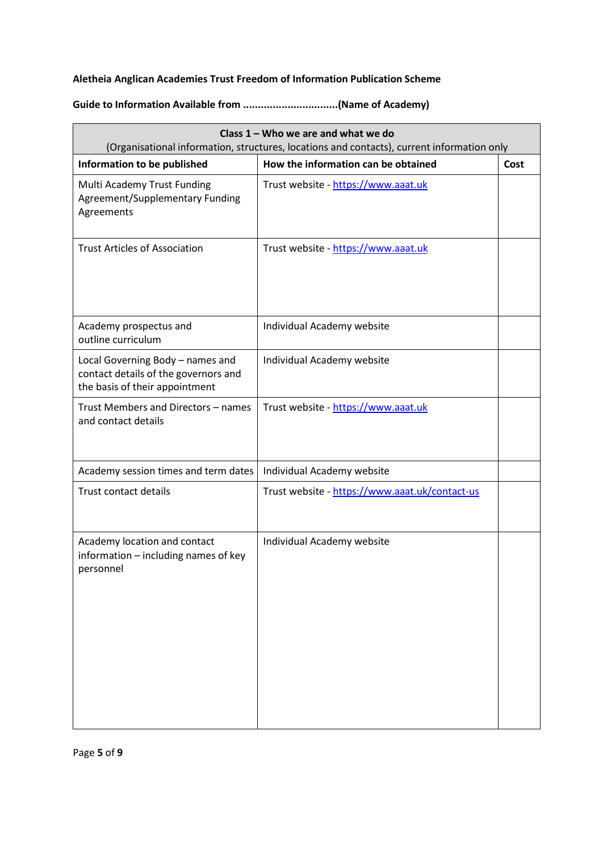### **Aletheia Anglican Academies Trust Freedom of Information Publication Scheme**

## **Guide to Information Available from ................................(Name of Academy)**

| Class 1 - Who we are and what we do<br>(Organisational information, structures, locations and contacts), current information only |                                                |      |
|-----------------------------------------------------------------------------------------------------------------------------------|------------------------------------------------|------|
| Information to be published                                                                                                       | How the information can be obtained            | Cost |
| Multi Academy Trust Funding<br>Agreement/Supplementary Funding<br>Agreements                                                      | Trust website - https://www.aaat.uk            |      |
| <b>Trust Articles of Association</b>                                                                                              | Trust website - https://www.aaat.uk            |      |
| Academy prospectus and<br>outline curriculum                                                                                      | Individual Academy website                     |      |
| Local Governing Body - names and<br>contact details of the governors and<br>the basis of their appointment                        | Individual Academy website                     |      |
| Trust Members and Directors - names<br>and contact details                                                                        | Trust website - https://www.aaat.uk            |      |
| Academy session times and term dates                                                                                              | Individual Academy website                     |      |
| Trust contact details                                                                                                             | Trust website - https://www.aaat.uk/contact-us |      |
| Academy location and contact<br>information - including names of key<br>personnel                                                 | Individual Academy website                     |      |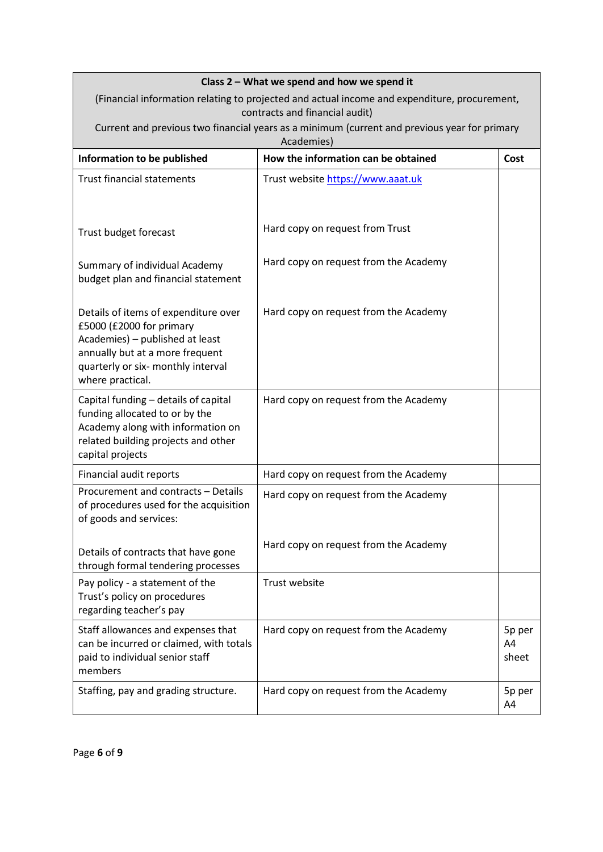| Class 2 - What we spend and how we spend it                                                                                                                                                      |                                                                                                            |                       |  |
|--------------------------------------------------------------------------------------------------------------------------------------------------------------------------------------------------|------------------------------------------------------------------------------------------------------------|-----------------------|--|
| (Financial information relating to projected and actual income and expenditure, procurement,<br>contracts and financial audit)                                                                   |                                                                                                            |                       |  |
|                                                                                                                                                                                                  | Current and previous two financial years as a minimum (current and previous year for primary<br>Academies) |                       |  |
| Information to be published                                                                                                                                                                      | How the information can be obtained                                                                        | Cost                  |  |
| <b>Trust financial statements</b>                                                                                                                                                                | Trust website https://www.aaat.uk                                                                          |                       |  |
| Trust budget forecast                                                                                                                                                                            | Hard copy on request from Trust                                                                            |                       |  |
| Summary of individual Academy<br>budget plan and financial statement                                                                                                                             | Hard copy on request from the Academy                                                                      |                       |  |
| Details of items of expenditure over<br>£5000 (£2000 for primary<br>Academies) - published at least<br>annually but at a more frequent<br>quarterly or six- monthly interval<br>where practical. | Hard copy on request from the Academy                                                                      |                       |  |
| Capital funding - details of capital<br>funding allocated to or by the<br>Academy along with information on<br>related building projects and other<br>capital projects                           | Hard copy on request from the Academy                                                                      |                       |  |
| Financial audit reports                                                                                                                                                                          | Hard copy on request from the Academy                                                                      |                       |  |
| Procurement and contracts - Details<br>of procedures used for the acquisition<br>of goods and services:                                                                                          | Hard copy on request from the Academy                                                                      |                       |  |
| Details of contracts that have gone<br>through formal tendering processes                                                                                                                        | Hard copy on request from the Academy                                                                      |                       |  |
| Pay policy - a statement of the<br>Trust's policy on procedures<br>regarding teacher's pay                                                                                                       | Trust website                                                                                              |                       |  |
| Staff allowances and expenses that<br>can be incurred or claimed, with totals<br>paid to individual senior staff<br>members                                                                      | Hard copy on request from the Academy                                                                      | 5p per<br>A4<br>sheet |  |
| Staffing, pay and grading structure.                                                                                                                                                             | Hard copy on request from the Academy                                                                      | 5p per<br>A4          |  |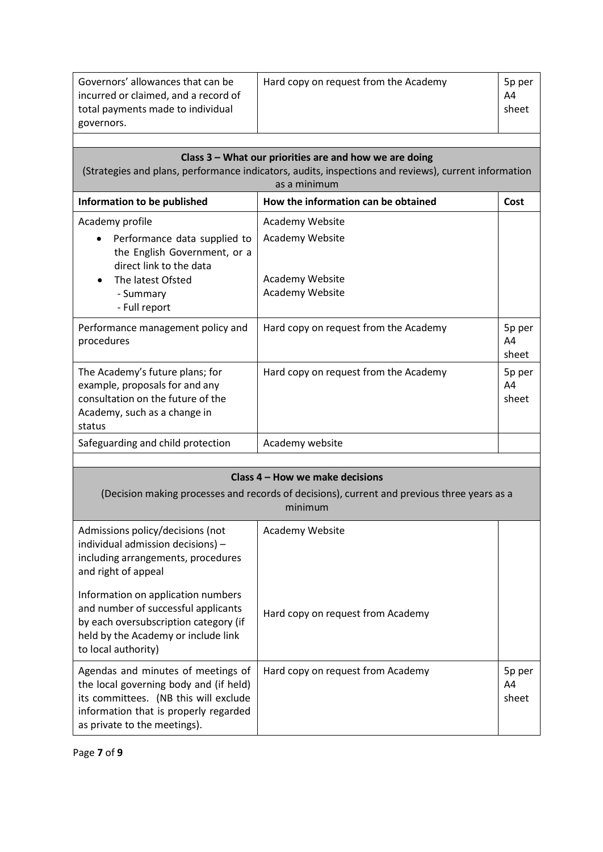| Governors' allowances that can be<br>incurred or claimed, and a record of<br>total payments made to individual | Hard copy on request from the Academy | 5p per<br>A4<br>sheet |
|----------------------------------------------------------------------------------------------------------------|---------------------------------------|-----------------------|
| governors.                                                                                                     |                                       |                       |
|                                                                                                                |                                       |                       |

| Class 3 - What our priorities are and how we are doing<br>(Strategies and plans, performance indicators, audits, inspections and reviews), current information<br>as a minimum |                                                       |                       |
|--------------------------------------------------------------------------------------------------------------------------------------------------------------------------------|-------------------------------------------------------|-----------------------|
| Information to be published                                                                                                                                                    | How the information can be obtained                   | Cost                  |
| Academy profile                                                                                                                                                                | Academy Website                                       |                       |
| Performance data supplied to<br>$\bullet$<br>the English Government, or a<br>direct link to the data<br>The latest Ofsted<br>- Summary<br>- Full report                        | Academy Website<br>Academy Website<br>Academy Website |                       |
| Performance management policy and<br>procedures                                                                                                                                | Hard copy on request from the Academy                 | 5p per<br>A4<br>sheet |
| The Academy's future plans; for<br>example, proposals for and any<br>consultation on the future of the<br>Academy, such as a change in<br>status                               | Hard copy on request from the Academy                 | 5p per<br>A4<br>sheet |
| Safeguarding and child protection                                                                                                                                              | Academy website                                       |                       |

| Class 4 – How we make decisions                                                                                                                                                                |                                   |                       |
|------------------------------------------------------------------------------------------------------------------------------------------------------------------------------------------------|-----------------------------------|-----------------------|
| (Decision making processes and records of decisions), current and previous three years as a<br>minimum                                                                                         |                                   |                       |
| Admissions policy/decisions (not<br>individual admission decisions) -<br>including arrangements, procedures<br>and right of appeal                                                             | Academy Website                   |                       |
| Information on application numbers<br>and number of successful applicants<br>by each oversubscription category (if<br>held by the Academy or include link<br>to local authority)               | Hard copy on request from Academy |                       |
| Agendas and minutes of meetings of<br>the local governing body and (if held)<br>its committees. (NB this will exclude<br>information that is properly regarded<br>as private to the meetings). | Hard copy on request from Academy | 5p per<br>A4<br>sheet |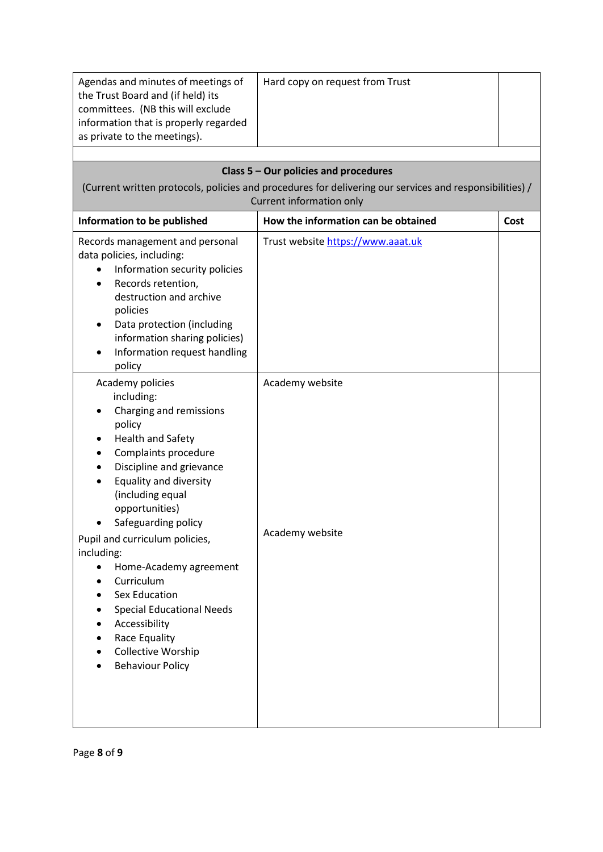| Agendas and minutes of meetings of<br>the Trust Board and (if held) its<br>committees. (NB this will exclude<br>information that is properly regarded<br>as private to the meetings).                                                                                                                                                                                                                                                                                                                      | Hard copy on request from Trust                                                                                                                                              |      |
|------------------------------------------------------------------------------------------------------------------------------------------------------------------------------------------------------------------------------------------------------------------------------------------------------------------------------------------------------------------------------------------------------------------------------------------------------------------------------------------------------------|------------------------------------------------------------------------------------------------------------------------------------------------------------------------------|------|
|                                                                                                                                                                                                                                                                                                                                                                                                                                                                                                            | Class 5 - Our policies and procedures<br>(Current written protocols, policies and procedures for delivering our services and responsibilities) /<br>Current information only |      |
| Information to be published                                                                                                                                                                                                                                                                                                                                                                                                                                                                                | How the information can be obtained                                                                                                                                          | Cost |
| Records management and personal<br>data policies, including:<br>Information security policies<br>$\bullet$<br>Records retention,<br>$\bullet$<br>destruction and archive<br>policies<br>Data protection (including<br>information sharing policies)<br>Information request handling<br>policy                                                                                                                                                                                                              | Trust website https://www.aaat.uk                                                                                                                                            |      |
| Academy policies<br>including:<br>Charging and remissions<br>policy<br><b>Health and Safety</b><br>٠<br>Complaints procedure<br>Discipline and grievance<br><b>Equality and diversity</b><br>(including equal<br>opportunities)<br>Safeguarding policy<br>Pupil and curriculum policies,<br>including:<br>Home-Academy agreement<br>$\bullet$<br>Curriculum<br><b>Sex Education</b><br><b>Special Educational Needs</b><br>Accessibility<br>Race Equality<br>Collective Worship<br><b>Behaviour Policy</b> | Academy website<br>Academy website                                                                                                                                           |      |